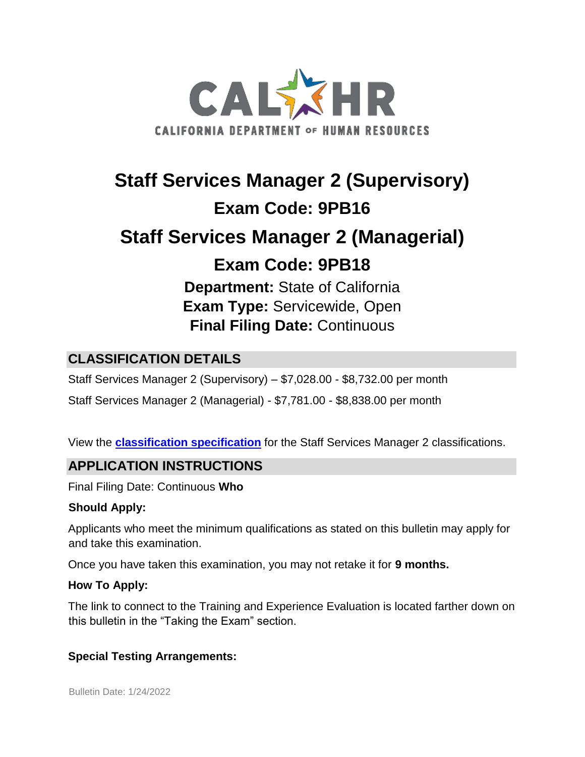

# **Staff Services Manager 2 (Supervisory) Exam Code: 9PB16 Staff Services Manager 2 (Managerial) Exam Code: 9PB18**

**Department:** State of California **Exam Type:** Servicewide, Open **Final Filing Date:** Continuous

# **CLASSIFICATION DETAILS**

Staff Services Manager 2 (Supervisory) – \$7,028.00 - \$8,732.00 per month

Staff Services Manager 2 (Managerial) - \$7,781.00 - \$8,838.00 per month

View the **classification [specification](http://www.calhr.ca.gov/state-hr-professionals/pages/4800.aspx)** for the Staff Services Manager 2 classifications.

## **APPLICATION INSTRUCTIONS**

Final Filing Date: Continuous **Who** 

#### **Should Apply:**

Applicants who meet the minimum qualifications as stated on this bulletin may apply for and take this examination.

Once you have taken this examination, you may not retake it for **9 months.**

#### **How To Apply:**

The link to connect to the Training and Experience Evaluation is located farther down on this bulletin in the "Taking the Exam" section.

#### **Special Testing Arrangements:**

Bulletin Date: 1/24/2022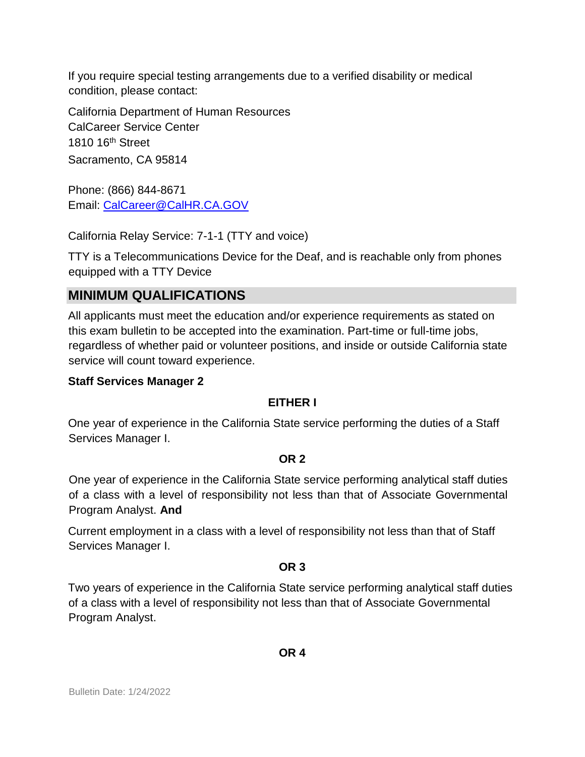If you require special testing arrangements due to a verified disability or medical condition, please contact:

California Department of Human Resources CalCareer Service Center 1810 16<sup>th</sup> Street Sacramento, CA 95814

Phone: (866) 844-8671 Email: CalCareer@CalHR.CA.GOV

California Relay Service: 7-1-1 (TTY and voice)

TTY is a Telecommunications Device for the Deaf, and is reachable only from phones equipped with a TTY Device

# **MINIMUM QUALIFICATIONS**

All applicants must meet the education and/or experience requirements as stated on this exam bulletin to be accepted into the examination. Part-time or full-time jobs, regardless of whether paid or volunteer positions, and inside or outside California state service will count toward experience.

#### **Staff Services Manager 2**

#### **EITHER I**

One year of experience in the California State service performing the duties of a Staff Services Manager I.

#### **OR 2**

One year of experience in the California State service performing analytical staff duties of a class with a level of responsibility not less than that of Associate Governmental Program Analyst. **And** 

Current employment in a class with a level of responsibility not less than that of Staff Services Manager I.

#### **OR 3**

Two years of experience in the California State service performing analytical staff duties of a class with a level of responsibility not less than that of Associate Governmental Program Analyst.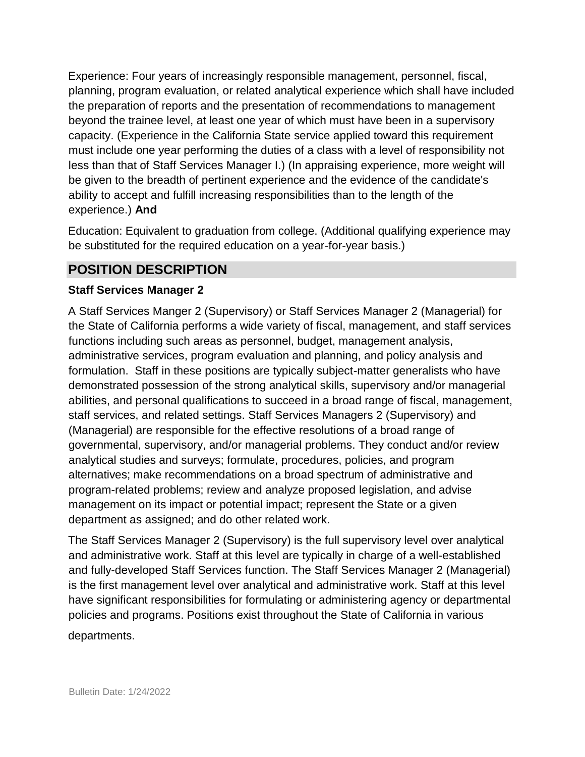Experience: Four years of increasingly responsible management, personnel, fiscal, planning, program evaluation, or related analytical experience which shall have included the preparation of reports and the presentation of recommendations to management beyond the trainee level, at least one year of which must have been in a supervisory capacity. (Experience in the California State service applied toward this requirement must include one year performing the duties of a class with a level of responsibility not less than that of Staff Services Manager I.) (In appraising experience, more weight will be given to the breadth of pertinent experience and the evidence of the candidate's ability to accept and fulfill increasing responsibilities than to the length of the experience.) **And** 

Education: Equivalent to graduation from college. (Additional qualifying experience may be substituted for the required education on a year-for-year basis.)

### **POSITION DESCRIPTION**

#### **Staff Services Manager 2**

A Staff Services Manger 2 (Supervisory) or Staff Services Manager 2 (Managerial) for the State of California performs a wide variety of fiscal, management, and staff services functions including such areas as personnel, budget, management analysis, administrative services, program evaluation and planning, and policy analysis and formulation. Staff in these positions are typically subject-matter generalists who have demonstrated possession of the strong analytical skills, supervisory and/or managerial abilities, and personal qualifications to succeed in a broad range of fiscal, management, staff services, and related settings. Staff Services Managers 2 (Supervisory) and (Managerial) are responsible for the effective resolutions of a broad range of governmental, supervisory, and/or managerial problems. They conduct and/or review analytical studies and surveys; formulate, procedures, policies, and program alternatives; make recommendations on a broad spectrum of administrative and program-related problems; review and analyze proposed legislation, and advise management on its impact or potential impact; represent the State or a given department as assigned; and do other related work.

The Staff Services Manager 2 (Supervisory) is the full supervisory level over analytical and administrative work. Staff at this level are typically in charge of a well-established and fully-developed Staff Services function. The Staff Services Manager 2 (Managerial) is the first management level over analytical and administrative work. Staff at this level have significant responsibilities for formulating or administering agency or departmental policies and programs. Positions exist throughout the State of California in various

#### departments.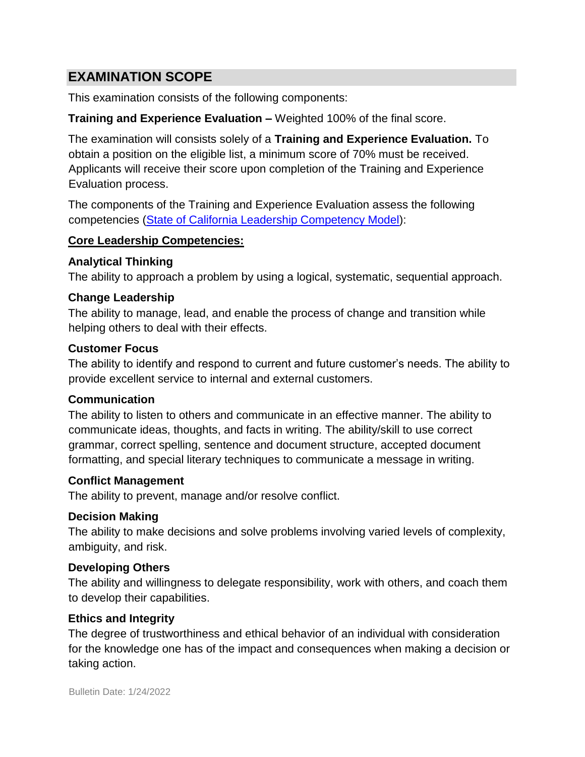## **EXAMINATION SCOPE**

This examination consists of the following components:

#### **Training and Experience Evaluation –** Weighted 100% of the final score.

The examination will consists solely of a **Training and Experience Evaluation.** To obtain a position on the eligible list, a minimum score of 70% must be received. Applicants will receive their score upon completion of the Training and Experience Evaluation process.

The components of the Training and Experience Evaluation assess the following competencies [\(State of California Leadership Competency Model\):](http://www.dpa.ca.gov/hr-mod/main.htm)

#### **Core Leadership Competencies:**

#### **Analytical Thinking**

The ability to approach a problem by using a logical, systematic, sequential approach.

#### **Change Leadership**

The ability to manage, lead, and enable the process of change and transition while helping others to deal with their effects.

#### **Customer Focus**

The ability to identify and respond to current and future customer's needs. The ability to provide excellent service to internal and external customers.

#### **Communication**

The ability to listen to others and communicate in an effective manner. The ability to communicate ideas, thoughts, and facts in writing. The ability/skill to use correct grammar, correct spelling, sentence and document structure, accepted document formatting, and special literary techniques to communicate a message in writing.

#### **Conflict Management**

The ability to prevent, manage and/or resolve conflict.

#### **Decision Making**

The ability to make decisions and solve problems involving varied levels of complexity, ambiguity, and risk.

#### **Developing Others**

The ability and willingness to delegate responsibility, work with others, and coach them to develop their capabilities.

#### **Ethics and Integrity**

The degree of trustworthiness and ethical behavior of an individual with consideration for the knowledge one has of the impact and consequences when making a decision or taking action.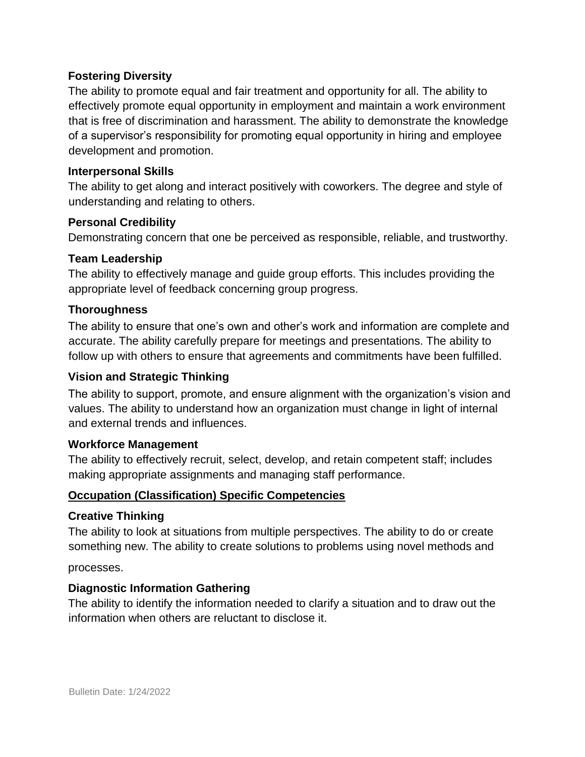#### **Fostering Diversity**

The ability to promote equal and fair treatment and opportunity for all. The ability to effectively promote equal opportunity in employment and maintain a work environment that is free of discrimination and harassment. The ability to demonstrate the knowledge of a supervisor's responsibility for promoting equal opportunity in hiring and employee development and promotion.

#### **Interpersonal Skills**

The ability to get along and interact positively with coworkers. The degree and style of understanding and relating to others.

#### **Personal Credibility**

Demonstrating concern that one be perceived as responsible, reliable, and trustworthy.

#### **Team Leadership**

The ability to effectively manage and guide group efforts. This includes providing the appropriate level of feedback concerning group progress.

#### **Thoroughness**

The ability to ensure that one's own and other's work and information are complete and accurate. The ability carefully prepare for meetings and presentations. The ability to follow up with others to ensure that agreements and commitments have been fulfilled.

#### **Vision and Strategic Thinking**

The ability to support, promote, and ensure alignment with the organization's vision and values. The ability to understand how an organization must change in light of internal and external trends and influences.

#### **Workforce Management**

The ability to effectively recruit, select, develop, and retain competent staff; includes making appropriate assignments and managing staff performance.

#### **Occupation (Classification) Specific Competencies**

#### **Creative Thinking**

The ability to look at situations from multiple perspectives. The ability to do or create something new. The ability to create solutions to problems using novel methods and

processes.

#### **Diagnostic Information Gathering**

The ability to identify the information needed to clarify a situation and to draw out the information when others are reluctant to disclose it.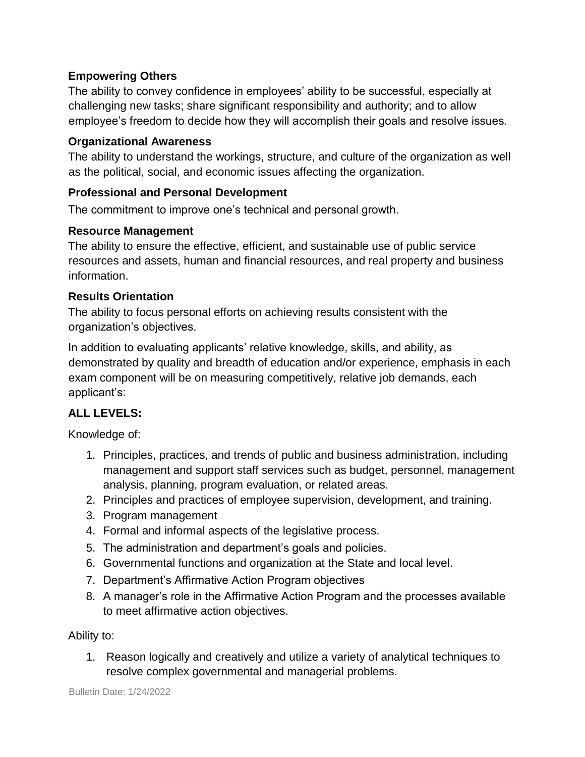#### **Empowering Others**

The ability to convey confidence in employees' ability to be successful, especially at challenging new tasks; share significant responsibility and authority; and to allow employee's freedom to decide how they will accomplish their goals and resolve issues.

#### **Organizational Awareness**

The ability to understand the workings, structure, and culture of the organization as well as the political, social, and economic issues affecting the organization.

#### **Professional and Personal Development**

The commitment to improve one's technical and personal growth.

#### **Resource Management**

The ability to ensure the effective, efficient, and sustainable use of public service resources and assets, human and financial resources, and real property and business information.

#### **Results Orientation**

The ability to focus personal efforts on achieving results consistent with the organization's objectives.

In addition to evaluating applicants' relative knowledge, skills, and ability, as demonstrated by quality and breadth of education and/or experience, emphasis in each exam component will be on measuring competitively, relative job demands, each applicant's:

#### **ALL LEVELS:**

Knowledge of:

- 1. Principles, practices, and trends of public and business administration, including management and support staff services such as budget, personnel, management analysis, planning, program evaluation, or related areas.
- 2. Principles and practices of employee supervision, development, and training.
- 3. Program management
- 4. Formal and informal aspects of the legislative process.
- 5. The administration and department's goals and policies.
- 6. Governmental functions and organization at the State and local level.
- 7. Department's Affirmative Action Program objectives
- 8. A manager's role in the Affirmative Action Program and the processes available to meet affirmative action objectives.

#### Ability to:

1. Reason logically and creatively and utilize a variety of analytical techniques to resolve complex governmental and managerial problems.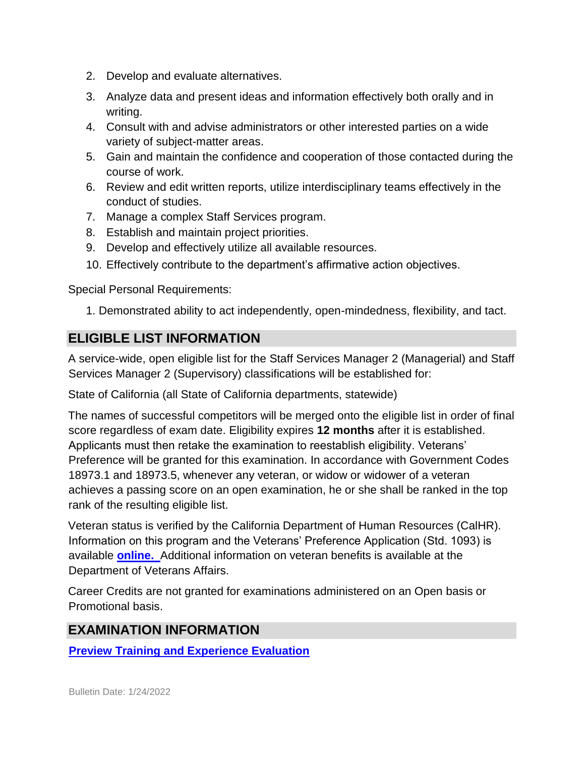- 2. Develop and evaluate alternatives.
- 3. Analyze data and present ideas and information effectively both orally and in writing.
- 4. Consult with and advise administrators or other interested parties on a wide variety of subject-matter areas.
- 5. Gain and maintain the confidence and cooperation of those contacted during the course of work.
- 6. Review and edit written reports, utilize interdisciplinary teams effectively in the conduct of studies.
- 7. Manage a complex Staff Services program.
- 8. Establish and maintain project priorities.
- 9. Develop and effectively utilize all available resources.
- 10. Effectively contribute to the department's affirmative action objectives.

Special Personal Requirements:

1. Demonstrated ability to act independently, open-mindedness, flexibility, and tact.

## **ELIGIBLE LIST INFORMATION**

A service-wide, open eligible list for the Staff Services Manager 2 (Managerial) and Staff Services Manager 2 (Supervisory) classifications will be established for:

State of California (all State of California departments, statewide)

The names of successful competitors will be merged onto the eligible list in order of final score regardless of exam date. Eligibility expires **12 months** after it is established. Applicants must then retake the examination to reestablish eligibility. Veterans' Preference will be granted for this examination. In accordance with Government Codes 18973.1 and 18973.5, whenever any veteran, or widow or widower of a veteran achieves a passing score on an open examination, he or she shall be ranked in the top rank of the resulting eligible list.

Veteran status is verified by the California Department of Human Resources (CalHR). Information on this program and the Veterans' Preference Application (Std. 1093) is available **[online.](https://www.jobs.ca.gov/CalHRPublic/Landing/Jobs/VeteransInformation.aspx)** Additional information on veteran benefits is available at the Department of Veterans Affairs.

Career Credits are not granted for examinations administered on an Open basis or Promotional basis.

# **EXAMINATION INFORMATION**

**[Preview Training and Experience Evaluation](http://jobs.ca.gov/jobsgen/9PB16A.pdf)**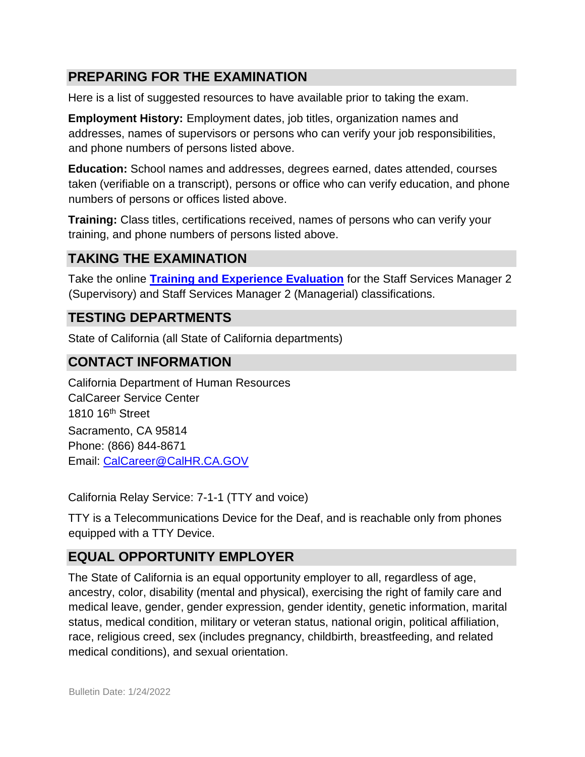# **PREPARING FOR THE EXAMINATION**

Here is a list of suggested resources to have available prior to taking the exam.

**Employment History:** Employment dates, job titles, organization names and addresses, names of supervisors or persons who can verify your job responsibilities, and phone numbers of persons listed above.

**Education:** School names and addresses, degrees earned, dates attended, courses taken (verifiable on a transcript), persons or office who can verify education, and phone numbers of persons or offices listed above.

**Training:** Class titles, certifications received, names of persons who can verify your training, and phone numbers of persons listed above.

# **TAKING THE EXAMINATION**

Take the online **[Training and Experience Evaluation](https://www.jobs.ca.gov/Public/Login.aspx?ExamId=9PB16)** [f](https://www.jobs.ca.gov/Public/Login.aspx?ExamId=9PB16)or the Staff Services Manager 2 (Supervisory) and Staff Services Manager 2 (Managerial) classifications.

## **TESTING DEPARTMENTS**

State of California (all State of California departments)

# **CONTACT INFORMATION**

California Department of Human Resources CalCareer Service Center 1810 16<sup>th</sup> Street Sacramento, CA 95814 Phone: (866) 844-8671 Email: CalCareer@CalHR.CA.GOV

California Relay Service: 7-1-1 (TTY and voice)

TTY is a Telecommunications Device for the Deaf, and is reachable only from phones equipped with a TTY Device.

# **EQUAL OPPORTUNITY EMPLOYER**

The State of California is an equal opportunity employer to all, regardless of age, ancestry, color, disability (mental and physical), exercising the right of family care and medical leave, gender, gender expression, gender identity, genetic information, marital status, medical condition, military or veteran status, national origin, political affiliation, race, religious creed, sex (includes pregnancy, childbirth, breastfeeding, and related medical conditions), and sexual orientation.